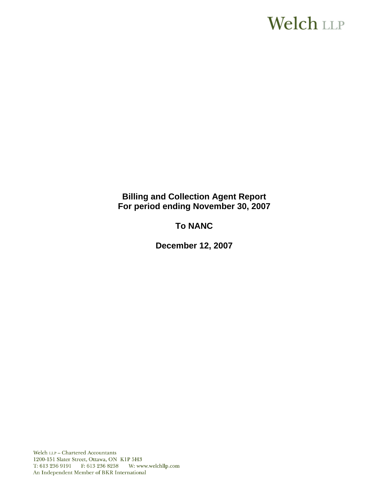# **Welch LLP**

# **Billing and Collection Agent Report For period ending November 30, 2007**

# **To NANC**

**December 12, 2007**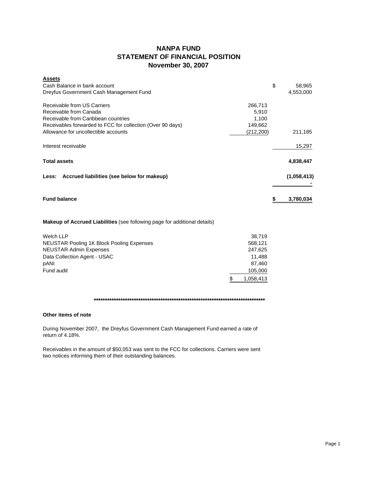## **NANPA FUND STATEMENT OF FINANCIAL POSITION November 30, 2007**

| <b>Assets</b>                                                         |              |
|-----------------------------------------------------------------------|--------------|
| Cash Balance in bank account                                          | \$<br>58,965 |
| Dreyfus Government Cash Management Fund                               | 4,553,000    |
| Receivable from US Carriers<br>266,713                                |              |
| Receivable from Canada<br>5,910                                       |              |
| Receivable from Caribbean countries<br>1,100                          |              |
| Receivables forwarded to FCC for collection (Over 90 days)<br>149,662 |              |
| Allowance for uncollectible accounts<br>(212, 200)                    | 211,185      |
| Interest receivable                                                   | 15,297       |
| <b>Total assets</b>                                                   | 4,838,447    |
| Less: Accrued liabilities (see below for makeup)                      | (1,058,413)  |
| <b>Fund balance</b>                                                   | 3,780,034    |
|                                                                       |              |

## **Makeup of Accrued Liabilities** (see following page for additional details)

| Welch LLP                                        | 38.719    |
|--------------------------------------------------|-----------|
| <b>NEUSTAR Pooling 1K Block Pooling Expenses</b> | 568.121   |
| <b>NEUSTAR Admin Expenses</b>                    | 247,625   |
| Data Collection Agent - USAC                     | 11.488    |
| pANI                                             | 87.460    |
| Fund audit                                       | 105,000   |
|                                                  | 1.058.413 |

#### **\*\*\*\*\*\*\*\*\*\*\*\*\*\*\*\*\*\*\*\*\*\*\*\*\*\*\*\*\*\*\*\*\*\*\*\*\*\*\*\*\*\*\*\*\*\*\*\*\*\*\*\*\*\*\*\*\*\*\*\*\*\*\*\*\*\*\*\*\*\*\*\*\*\*\*\*\***

#### **Other items of note**

During November 2007, the Dreyfus Government Cash Management Fund earned a rate of return of 4.18%.

Receivables in the amount of \$50,053 was sent to the FCC for collections. Carriers were sent two notices informing them of their outstanding balances.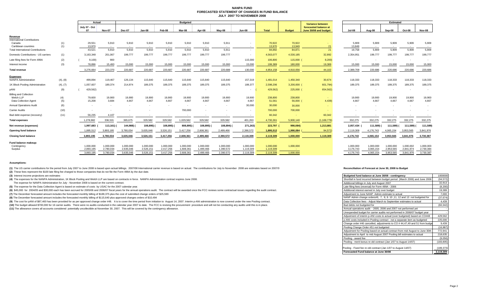#### **NANPA FUND FORECASTED STATEMENT OF CHANGES IN FUND BALANCEJULY 2007 TO NOVEMBER 2008**

|            |                                           | Actual                                                  |                                          | <b>Budgeted</b>                          |                                          |                                          |                                          |                                          |                                          |                                                |                                                           | Estimated                                      |                                                                                                                      |                                          |                                          |                                          |                                          |
|------------|-------------------------------------------|---------------------------------------------------------|------------------------------------------|------------------------------------------|------------------------------------------|------------------------------------------|------------------------------------------|------------------------------------------|------------------------------------------|------------------------------------------------|-----------------------------------------------------------|------------------------------------------------|----------------------------------------------------------------------------------------------------------------------|------------------------------------------|------------------------------------------|------------------------------------------|------------------------------------------|
|            | July 07 - Oct<br>07                       | <b>Nov-07</b>                                           | Dec-07                                   | Jan-08                                   | Feb-08                                   | Mar-08                                   | Apr-08                                   | May-08                                   | <b>Jun-08</b>                            | <b>Total</b><br><b>Budget</b>                  |                                                           | forecasted balance at<br>June 30/08 and budget | <b>Jul-08</b>                                                                                                        | Aug-08                                   | Sep-08                                   | Oct-08                                   | Nov-08                                   |
|            |                                           |                                                         |                                          |                                          |                                          |                                          |                                          |                                          |                                          |                                                |                                                           |                                                |                                                                                                                      |                                          |                                          |                                          | 5,909                                    |
|            | 13,970                                    | $\sim$                                                  | $\sim$                                   | $\sim$                                   | $\sim$                                   | $\sim$                                   | $\sim$                                   | $\sim$                                   | $\sim$                                   | 13,970                                         | 13,949                                                    | 21                                             | 13,849                                                                                                               | $\sim$                                   | $\sim$                                   | $\sim$                                   | $\sim$                                   |
|            | 43,521                                    | 5,910                                                   | 5,910                                    | 5,910                                    | 5,910                                    | 5,910                                    | 5,910                                    | 5,911                                    | $\sim$                                   | 84,892                                         | 84,871                                                    | 21                                             | 19,758                                                                                                               | 5,909                                    | 5,909                                    | 5,909                                    | 5,909                                    |
| (1)        | 3,163,348                                 | 201,067                                                 | 199,777                                  | 199,777                                  | 199,777                                  | 199,777                                  | 199,777                                  | 199,777                                  | ٠                                        | 4,563,077                                      | 4,530,185                                                 | 32,892                                         | 2,354,951                                                                                                            | 199,777                                  | 199,777                                  | 199,777                                  | 199,777                                  |
| (2)        | 9,100                                     | 900                                                     | $\sim$                                   | $\sim$                                   | $\sim$                                   | $\sim$                                   | $\sim$                                   | $\overline{\phantom{a}}$                 | 115,000                                  | 106,800                                        |                                                           | 8,200                                          | $\sim$                                                                                                               | $\sim$                                   | $\sim$                                   | $\sim$                                   |                                          |
| (3)        | 78,896                                    | 15.493                                                  | 15,000                                   | 15,000                                   | 15,000                                   | 15,000                                   | 15,000                                   | 15,000                                   | 15,000                                   | 199,389                                        | 180,000                                                   | 19,389                                         | 15,000                                                                                                               | 15,000                                   | 15,000                                   | 15.000                                   | 15,000                                   |
|            | 3,276,664                                 | 223,370                                                 | 220,687                                  | 220,687                                  | 220,687                                  | 220,687                                  | 220,687                                  | 220,688                                  | 130,000                                  | 4,954,158                                      | 4,910,056                                                 | 44,102                                         | 2,389,709                                                                                                            | 220,686                                  | 220,686                                  | 220,686                                  | 220,686                                  |
|            |                                           |                                                         |                                          |                                          |                                          |                                          |                                          |                                          |                                          |                                                |                                                           |                                                |                                                                                                                      |                                          |                                          |                                          | 118,333                                  |
|            |                                           |                                                         |                                          |                                          |                                          |                                          |                                          |                                          |                                          |                                                |                                                           |                                                |                                                                                                                      |                                          |                                          |                                          |                                          |
|            |                                           |                                                         |                                          |                                          |                                          |                                          |                                          |                                          |                                          |                                                |                                                           |                                                |                                                                                                                      |                                          |                                          |                                          | 189,375                                  |
|            |                                           |                                                         |                                          |                                          |                                          |                                          |                                          |                                          |                                          |                                                |                                                           |                                                |                                                                                                                      |                                          |                                          |                                          |                                          |
| (4)<br>(5) | 79,600<br>15,208                          | 19,900<br>3,684                                         | 19,900<br>4.667                          | 19,900<br>4,667                          | 19,900<br>4,667                          | 19,900<br>4.667                          | 19,900<br>4,667                          | 19,900<br>4,667                          | 19,900<br>4,667                          | 238,800<br>51,561                              | 238,800                                                   | <b>Section</b><br>4,439)                       | 19,900<br>4.667                                                                                                      | 19,900<br>4,667                          | 19,900<br>4,667                          | 19,900<br>4,667                          | 19,900<br>4,667                          |
| (6)        | $\sim$                                    |                                                         |                                          |                                          |                                          | $\sim$                                   | $\sim$                                   | $\overline{\phantom{a}}$                 | 30,000                                   | 30,000                                         | 30,000                                                    |                                                |                                                                                                                      |                                          |                                          |                                          |                                          |
| (10)       |                                           |                                                         |                                          |                                          |                                          | 700,000                                  |                                          |                                          | $\sim$                                   | 700,000                                        | 700,000                                                   |                                                |                                                                                                                      |                                          |                                          |                                          |                                          |
| (11)       | 56,235                                    | 4.107                                                   | $\sim$                                   | $\sim$                                   |                                          | $\sim$                                   | $\sim$                                   | $\sim$                                   | $\sim$ 100 $\pm$                         | 60,342                                         | $\sim$                                                    | 60,342                                         | $\sim$                                                                                                               | $\overline{\phantom{a}}$                 | $\sim$                                   | $\sim$                                   | $\sim$ 100 $\pm$                         |
|            | 1,278,982                                 | 336,531                                                 | 365,675                                  | 329,582                                  | 329,582                                  | 1,029,582                                | 329,582                                  | 329,582                                  | 401,263                                  | 4,730,361                                      | 5,900,140                                                 | (1, 169, 779)                                  | 332,275                                                                                                              | 332,275                                  | 332,275                                  | 332,275                                  | 332,275                                  |
|            | 1,997,683                                 | 113,161) (                                              | 144,988)                                 | 108,895)                                 | 108,895)                                 | 808,895)                                 | 108,895) (                               | 108,894) (                               | 271,263)                                 | 223,797 (                                      |                                                           | 1,213,881                                      | 2,057,434                                                                                                            | 111,589)                                 | 111,589)                                 | 111,589)                                 | 111,589)                                 |
|            | 1,895,512                                 | 3.893.195                                               | 3,780,034                                | 3,635,046                                | 3,526,151                                | 3,417,256                                | 2,608,36                                 | 2,499,466                                | 2,390,572                                | 1,895,512                                      | 1,990,084                                                 | 94,572)                                        | 2,119,309                                                                                                            | 4,176,743                                | 4.065.154                                | 3,953,565                                | 3,841,976                                |
|            | 3,893,195                                 | 3.780.034                                               | 3,635,046                                | 3,526,151                                | 3.417.256                                | 2,608,361                                | 2,499,466                                | 2,390,572                                | 2,119,309                                | 2,119,309                                      | 1,000,000                                                 | 1,119,309                                      | 4,176,743                                                                                                            | 4,065,154                                | 3,953,565                                | 3,841,976                                | 3,730,387                                |
|            |                                           |                                                         |                                          |                                          |                                          |                                          |                                          |                                          |                                          |                                                |                                                           |                                                |                                                                                                                      |                                          |                                          |                                          |                                          |
|            | 2,893,195                                 | 2,780,034                                               | 2,635,046                                | 2,526,151                                | 2,417,256                                | 1.608.361                                | 1,499,466                                | 1,390,572                                | 1,119,309                                | 1,119,309                                      |                                                           |                                                | 3,176,743                                                                                                            | 3,065,154                                | 2,953,565                                | 2,841,974                                | 1,000,003<br>2,730,384                   |
|            | 3.893.195                                 | 3.780.034                                               | 3.635.046                                | 3.526.151                                | 3.417.256                                | 2.608.36                                 | 2.499.466                                | 2.390.572                                | 2.119.309                                | 2.119.309                                      | 1.000.000                                                 |                                                | 4.176.743                                                                                                            | 4.065.154                                | 3.953.565                                | 3.841.976                                | 3,730,387                                |
|            | (1)<br>(1)<br>(4), (8)<br>(4), (7)<br>(9) | 29,551<br>499,894<br>1,057,607<br>429,562)<br>1.000.000 | 5,910<br>119,467<br>189,374<br>1.000.000 | 5,910<br>126,134<br>214,974<br>1.000.000 | 5,910<br>115,640<br>189,375<br>1.000.000 | 5,910<br>115,640<br>189,375<br>1.000.000 | 5,910<br>115,640<br>189,375<br>1.000.000 | 5,910<br>115,640<br>189,375<br>1,000,000 | 5,911<br>115,640<br>189,375<br>1.000.000 | ٠<br>157,319<br>189,377<br>$\sim$<br>1,000,000 | 70,922<br>1,481,014<br>2,598,206<br>429,562)<br>1,000,000 | 70,922<br>1,450,340<br>1,000,000               | <b>Variance between</b><br>115,000<br>30,674<br>3,200,000<br>601,794)<br>654,562)<br>225,000 (<br>56,000<br>990,084) | 5,909<br>118,333<br>189,375<br>1.000.000 | 5,909<br>118,333<br>189,375<br>1.000.000 | 5,909<br>118,333<br>189,375<br>1.000.000 | 5,909<br>118,333<br>189,375<br>1.000.002 |

#### **Assumptions:**

(1) The US carrier contributions for the period from July 2007 to June 2008 is based upon actual billings. 2007/08 International carrier revenue is based on actual. The contributions for July to November 2008 are estimates

**(2)** These fees represent the \$100 late filing fee charged to those companies that do not file the Form 499A by the due date.

**(3)** Interest income projections are estimates

**(4)** The expenses for the NANPA Administration, 1K Block Pooling and Welch LLP are based on contracts in force. NANPA Administration contract expires June 2008.

The expense for NANPA Administration for July - November 2008 is based on the current contract.

**(5)** The expense for the Data Collection Agent is based on estimate of costs by USAC for the 2007 calendar year.

(6) \$45,000 for 2004/05 and \$30,000 each has been accrued for 2005/06 and 2006/07 fiscal years for the annual operations audit. The contract will be awarded once the FCC reviews some contractual issues regarding the audit

**(7)** The December forecasted amount includes the forecasted monthly billing of \$189,375 plus the cost of submitted change orders of \$25,599

**(8)** The December forecasted amount includes the forecasted monthly billing of \$115,640 plus approved changes orders of \$10,494

(9) The cost for pANI of \$87,460 has been provided for as per approved change order #48. It is to cover the time period from initiation to August 14, 2007. Interim p-ANI administration is now covered under the new Pooling

(10) The budget allowed \$700,000 for 16 carrier audits. There were no audits conducted in the calendar year 2007 to date. The FCC is revising the procurement procedure and will not be conducting any audits until this is in

**(11)** The allowance covers all accounts considered potentially uncollectible at November 30, 2007. This will be covered by the contingency allowance.

#### **Reconciliation of Forecast at June 30, 2008 to Budget**

| Budgeted fund balance at June 30/08 - contingency                            | 1000000    |
|------------------------------------------------------------------------------|------------|
| Shortfall in fund incurred between budget period (March 2006) and June 2006  | (94, 572)  |
| Additional billings in July and August 2007                                  | 32,913     |
| Late filing fees (reversal) for Form 499A - 2006                             | (8, 200)   |
| Additional interest earned in July over budget                               | 19,389     |
| Adjustment to June NANP Admin estimate to actual                             | 7,000      |
| NANP Admin change orders#6, 7, 8, 9, 10, 11, 12 and 13 not budgeted for      | (37, 674)  |
| Data Collection fees - Adjust March to September estimates to actual         | 4,439      |
| Bad debts not budgeted for                                                   | (60, 342)  |
| Annual operations audit - 2005, 2006 and 2007 not performed yet              |            |
| Unexpended budget for carrier audits not performed in 2006/07 budget year    |            |
| Adjustment of interim p-ANI costs to actual (over budgeted) based on CO#48   | 429,562    |
| p-ANI costs included in Pooling contract - not a separate item as budgeted   | 225,000    |
| Change order #46 cancelled, adjustments to CO #44,47,49 and 51 from budge    | 9,439      |
| Pooling Change Order #51 not budgeted                                        | (16, 987)  |
| Adjustment for Pooling based on actual contract from mid August to June 30th | 772,941    |
| Adjustment to April to mid August 2007 Pooling bill estimates to actual      | 218,635    |
| Pooling - award fee                                                          | (9,056)    |
| Pooling - merit bonus re old contract (Jan 1/07 to August 14/07)             | (183, 805) |
| Pooling - Fixed fee re old contract (Jan 1/07 to August 14/07)               | (189, 373) |
| Forecasted Fund balance at June 30/08                                        | 2,119,309  |